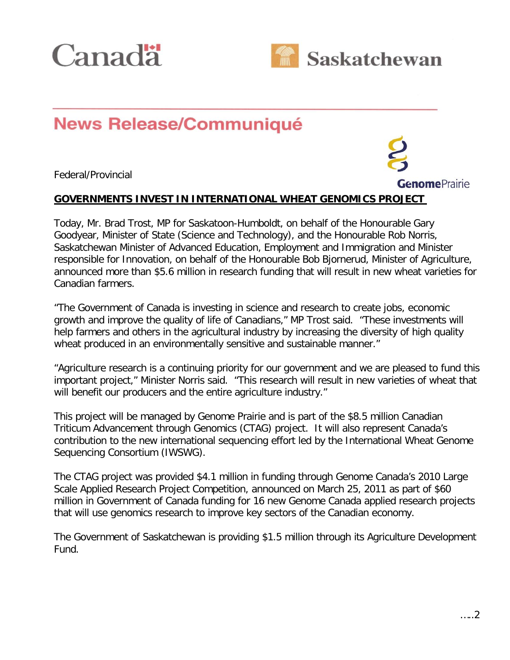



# Jul. 15, 2011**News Release/Communiqué**

Federal/Provincial



## **GOVERNMENTS INVEST IN INTERNATIONAL WHEAT GENOMICS PROJECT**

Today, Mr. Brad Trost, MP for Saskatoon-Humboldt, on behalf of the Honourable Gary Goodyear, Minister of State (Science and Technology), and the Honourable Rob Norris, Saskatchewan Minister of Advanced Education, Employment and Immigration and Minister responsible for Innovation, on behalf of the Honourable Bob Bjornerud, Minister of Agriculture, announced more than \$5.6 million in research funding that will result in new wheat varieties for Canadian farmers.

"The Government of Canada is investing in science and research to create jobs, economic growth and improve the quality of life of Canadians," MP Trost said. "These investments will help farmers and others in the agricultural industry by increasing the diversity of high quality wheat produced in an environmentally sensitive and sustainable manner."

"Agriculture research is a continuing priority for our government and we are pleased to fund this important project," Minister Norris said. "This research will result in new varieties of wheat that will benefit our producers and the entire agriculture industry."

This project will be managed by Genome Prairie and is part of the \$8.5 million Canadian Triticum Advancement through Genomics (CTAG) project. It will also represent Canada's contribution to the new international sequencing effort led by the International Wheat Genome Sequencing Consortium (IWSWG).

The CTAG project was provided \$4.1 million in funding through Genome Canada's 2010 Large Scale Applied Research Project Competition, announced on March 25, 2011 as part of \$60 million in Government of Canada funding for 16 new Genome Canada applied research projects that will use genomics research to improve key sectors of the Canadian economy.

The Government of Saskatchewan is providing \$1.5 million through its Agriculture Development Fund.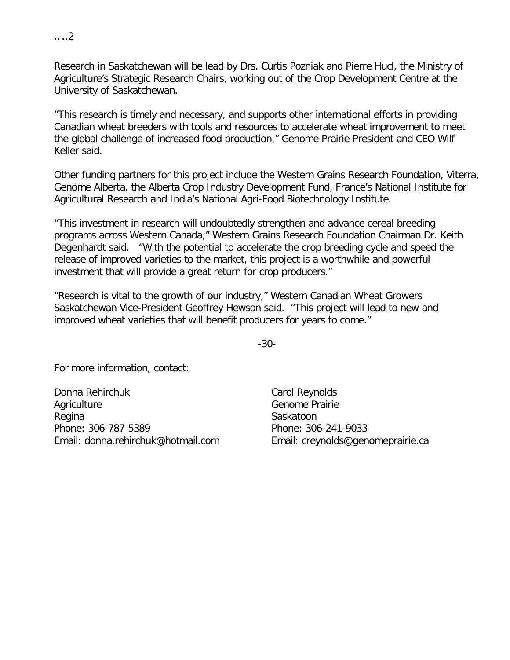Research in Saskatchewan will be lead by Drs. Curtis Pozniak and Pierre Hucl, the Ministry of Agriculture's Strategic Research Chairs, working out of the Crop Development Centre at the University of Saskatchewan.

"This research is timely and necessary, and supports other international efforts in providing Canadian wheat breeders with tools and resources to accelerate wheat improvement to meet the global challenge of increased food production," Genome Prairie President and CEO Wilf Keller said.

Other funding partners for this project include the Western Grains Research Foundation, Viterra, Genome Alberta, the Alberta Crop Industry Development Fund, France's National Institute for Agricultural Research and India's National Agri-Food Biotechnology Institute.

"This investment in research will undoubtedly strengthen and advance cereal breeding programs across Western Canada," Western Grains Research Foundation Chairman Dr. Keith Degenhardt said. "With the potential to accelerate the crop breeding cycle and speed the release of improved varieties to the market, this project is a worthwhile and powerful investment that will provide a great return for crop producers."

"Research is vital to the growth of our industry," Western Canadian Wheat Growers Saskatchewan Vice-President Geoffrey Hewson said. "This project will lead to new and improved wheat varieties that will benefit producers for years to come."

-30-

For more information, contact:

Donna Rehirchuk **Agriculture** Regina Phone: 306-787-5389 Email: donna.rehirchuk@hotmail.com

Carol Reynolds Genome Prairie Saskatoon Phone: 306-241-9033 Email: creynolds@genomeprairie.ca